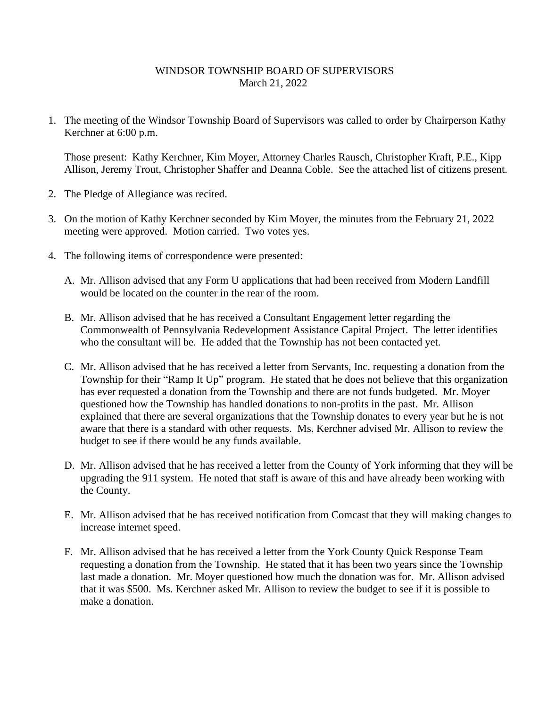## WINDSOR TOWNSHIP BOARD OF SUPERVISORS March 21, 2022

1. The meeting of the Windsor Township Board of Supervisors was called to order by Chairperson Kathy Kerchner at 6:00 p.m.

Those present: Kathy Kerchner, Kim Moyer, Attorney Charles Rausch, Christopher Kraft, P.E., Kipp Allison, Jeremy Trout, Christopher Shaffer and Deanna Coble. See the attached list of citizens present.

- 2. The Pledge of Allegiance was recited.
- 3. On the motion of Kathy Kerchner seconded by Kim Moyer, the minutes from the February 21, 2022 meeting were approved. Motion carried. Two votes yes.
- 4. The following items of correspondence were presented:
	- A. Mr. Allison advised that any Form U applications that had been received from Modern Landfill would be located on the counter in the rear of the room.
	- B. Mr. Allison advised that he has received a Consultant Engagement letter regarding the Commonwealth of Pennsylvania Redevelopment Assistance Capital Project. The letter identifies who the consultant will be. He added that the Township has not been contacted yet.
	- C. Mr. Allison advised that he has received a letter from Servants, Inc. requesting a donation from the Township for their "Ramp It Up" program. He stated that he does not believe that this organization has ever requested a donation from the Township and there are not funds budgeted. Mr. Moyer questioned how the Township has handled donations to non-profits in the past. Mr. Allison explained that there are several organizations that the Township donates to every year but he is not aware that there is a standard with other requests. Ms. Kerchner advised Mr. Allison to review the budget to see if there would be any funds available.
	- D. Mr. Allison advised that he has received a letter from the County of York informing that they will be upgrading the 911 system. He noted that staff is aware of this and have already been working with the County.
	- E. Mr. Allison advised that he has received notification from Comcast that they will making changes to increase internet speed.
	- F. Mr. Allison advised that he has received a letter from the York County Quick Response Team requesting a donation from the Township. He stated that it has been two years since the Township last made a donation. Mr. Moyer questioned how much the donation was for. Mr. Allison advised that it was \$500. Ms. Kerchner asked Mr. Allison to review the budget to see if it is possible to make a donation.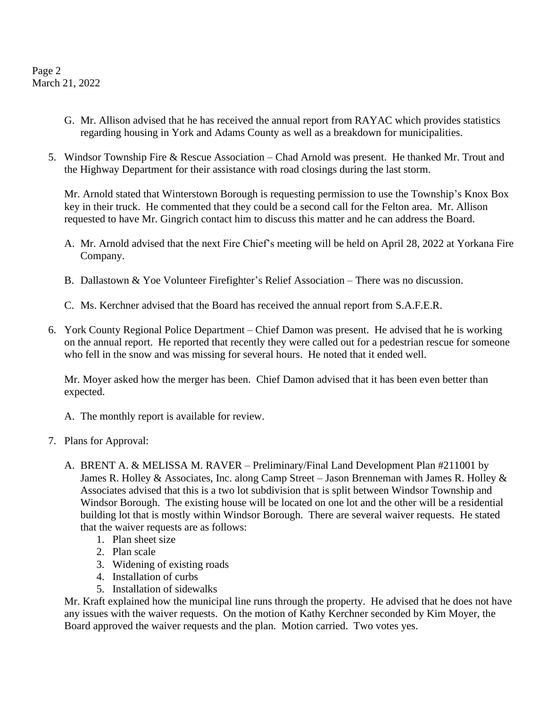Page 2 March 21, 2022

- G. Mr. Allison advised that he has received the annual report from RAYAC which provides statistics regarding housing in York and Adams County as well as a breakdown for municipalities.
- 5. Windsor Township Fire & Rescue Association Chad Arnold was present. He thanked Mr. Trout and the Highway Department for their assistance with road closings during the last storm.

Mr. Arnold stated that Winterstown Borough is requesting permission to use the Township's Knox Box key in their truck. He commented that they could be a second call for the Felton area. Mr. Allison requested to have Mr. Gingrich contact him to discuss this matter and he can address the Board.

- A. Mr. Arnold advised that the next Fire Chief's meeting will be held on April 28, 2022 at Yorkana Fire Company.
- B. Dallastown & Yoe Volunteer Firefighter's Relief Association There was no discussion.
- C. Ms. Kerchner advised that the Board has received the annual report from S.A.F.E.R.
- 6. York County Regional Police Department Chief Damon was present. He advised that he is working on the annual report. He reported that recently they were called out for a pedestrian rescue for someone who fell in the snow and was missing for several hours. He noted that it ended well.

Mr. Moyer asked how the merger has been. Chief Damon advised that it has been even better than expected.

- A. The monthly report is available for review.
- 7. Plans for Approval:
	- A. BRENT A. & MELISSA M. RAVER Preliminary/Final Land Development Plan #211001 by James R. Holley & Associates, Inc. along Camp Street – Jason Brenneman with James R. Holley & Associates advised that this is a two lot subdivision that is split between Windsor Township and Windsor Borough. The existing house will be located on one lot and the other will be a residential building lot that is mostly within Windsor Borough. There are several waiver requests. He stated that the waiver requests are as follows:
		- 1. Plan sheet size
		- 2. Plan scale
		- 3. Widening of existing roads
		- 4. Installation of curbs
		- 5. Installation of sidewalks

Mr. Kraft explained how the municipal line runs through the property. He advised that he does not have any issues with the waiver requests. On the motion of Kathy Kerchner seconded by Kim Moyer, the Board approved the waiver requests and the plan. Motion carried. Two votes yes.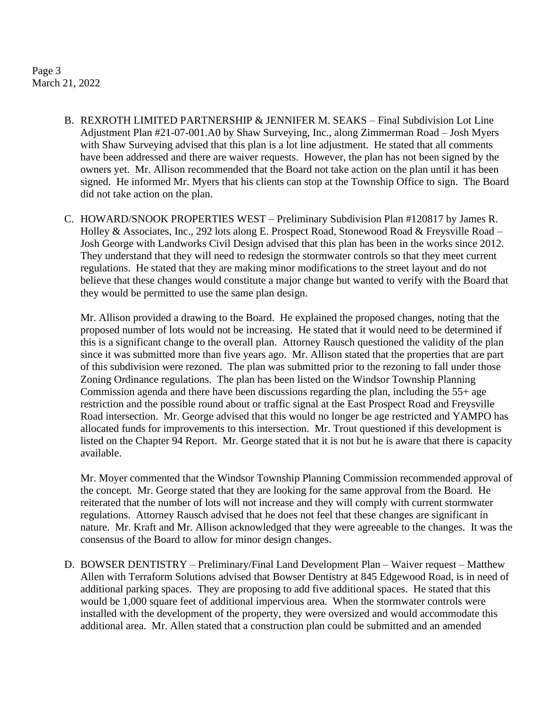## Page 3 March 21, 2022

- B. REXROTH LIMITED PARTNERSHIP & JENNIFER M. SEAKS Final Subdivision Lot Line Adjustment Plan #21-07-001.A0 by Shaw Surveying, Inc., along Zimmerman Road – Josh Myers with Shaw Surveying advised that this plan is a lot line adjustment. He stated that all comments have been addressed and there are waiver requests. However, the plan has not been signed by the owners yet. Mr. Allison recommended that the Board not take action on the plan until it has been signed. He informed Mr. Myers that his clients can stop at the Township Office to sign. The Board did not take action on the plan.
- C. HOWARD/SNOOK PROPERTIES WEST Preliminary Subdivision Plan #120817 by James R. Holley & Associates, Inc., 292 lots along E. Prospect Road, Stonewood Road & Freysville Road – Josh George with Landworks Civil Design advised that this plan has been in the works since 2012. They understand that they will need to redesign the stormwater controls so that they meet current regulations. He stated that they are making minor modifications to the street layout and do not believe that these changes would constitute a major change but wanted to verify with the Board that they would be permitted to use the same plan design.

Mr. Allison provided a drawing to the Board. He explained the proposed changes, noting that the proposed number of lots would not be increasing. He stated that it would need to be determined if this is a significant change to the overall plan. Attorney Rausch questioned the validity of the plan since it was submitted more than five years ago. Mr. Allison stated that the properties that are part of this subdivision were rezoned. The plan was submitted prior to the rezoning to fall under those Zoning Ordinance regulations. The plan has been listed on the Windsor Township Planning Commission agenda and there have been discussions regarding the plan, including the 55+ age restriction and the possible round about or traffic signal at the East Prospect Road and Freysville Road intersection. Mr. George advised that this would no longer be age restricted and YAMPO has allocated funds for improvements to this intersection. Mr. Trout questioned if this development is listed on the Chapter 94 Report. Mr. George stated that it is not but he is aware that there is capacity available.

Mr. Moyer commented that the Windsor Township Planning Commission recommended approval of the concept. Mr. George stated that they are looking for the same approval from the Board. He reiterated that the number of lots will not increase and they will comply with current stormwater regulations. Attorney Rausch advised that he does not feel that these changes are significant in nature. Mr. Kraft and Mr. Allison acknowledged that they were agreeable to the changes. It was the consensus of the Board to allow for minor design changes.

D. BOWSER DENTISTRY – Preliminary/Final Land Development Plan – Waiver request – Matthew Allen with Terraform Solutions advised that Bowser Dentistry at 845 Edgewood Road, is in need of additional parking spaces. They are proposing to add five additional spaces. He stated that this would be 1,000 square feet of additional impervious area. When the stormwater controls were installed with the development of the property, they were oversized and would accommodate this additional area. Mr. Allen stated that a construction plan could be submitted and an amended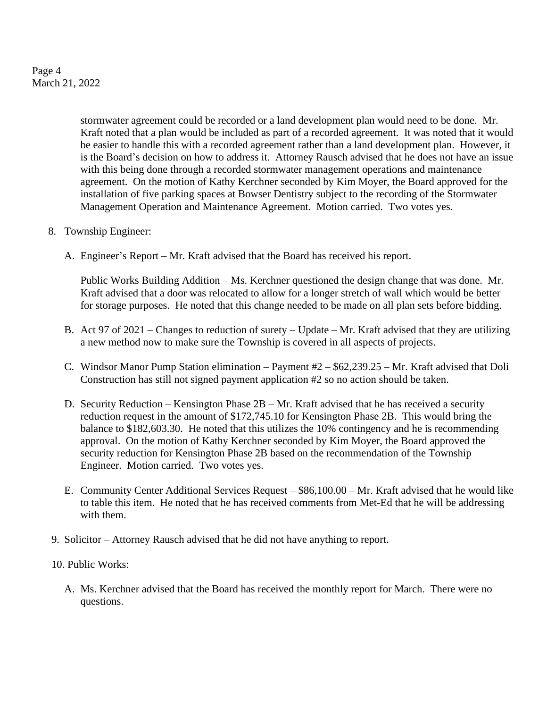Page 4 March 21, 2022

> stormwater agreement could be recorded or a land development plan would need to be done. Mr. Kraft noted that a plan would be included as part of a recorded agreement. It was noted that it would be easier to handle this with a recorded agreement rather than a land development plan. However, it is the Board's decision on how to address it. Attorney Rausch advised that he does not have an issue with this being done through a recorded stormwater management operations and maintenance agreement. On the motion of Kathy Kerchner seconded by Kim Moyer, the Board approved for the installation of five parking spaces at Bowser Dentistry subject to the recording of the Stormwater Management Operation and Maintenance Agreement. Motion carried. Two votes yes.

- 8. Township Engineer:
	- A. Engineer's Report Mr. Kraft advised that the Board has received his report.

Public Works Building Addition – Ms. Kerchner questioned the design change that was done. Mr. Kraft advised that a door was relocated to allow for a longer stretch of wall which would be better for storage purposes. He noted that this change needed to be made on all plan sets before bidding.

- B. Act 97 of 2021 Changes to reduction of surety Update Mr. Kraft advised that they are utilizing a new method now to make sure the Township is covered in all aspects of projects.
- C. Windsor Manor Pump Station elimination Payment #2 \$62,239.25 Mr. Kraft advised that Doli Construction has still not signed payment application #2 so no action should be taken.
- D. Security Reduction Kensington Phase 2B Mr. Kraft advised that he has received a security reduction request in the amount of \$172,745.10 for Kensington Phase 2B. This would bring the balance to \$182,603.30. He noted that this utilizes the 10% contingency and he is recommending approval. On the motion of Kathy Kerchner seconded by Kim Moyer, the Board approved the security reduction for Kensington Phase 2B based on the recommendation of the Township Engineer. Motion carried. Two votes yes.
- E. Community Center Additional Services Request \$86,100.00 Mr. Kraft advised that he would like to table this item. He noted that he has received comments from Met-Ed that he will be addressing with them.
- 9. Solicitor Attorney Rausch advised that he did not have anything to report.
- 10. Public Works:
	- A. Ms. Kerchner advised that the Board has received the monthly report for March. There were no questions.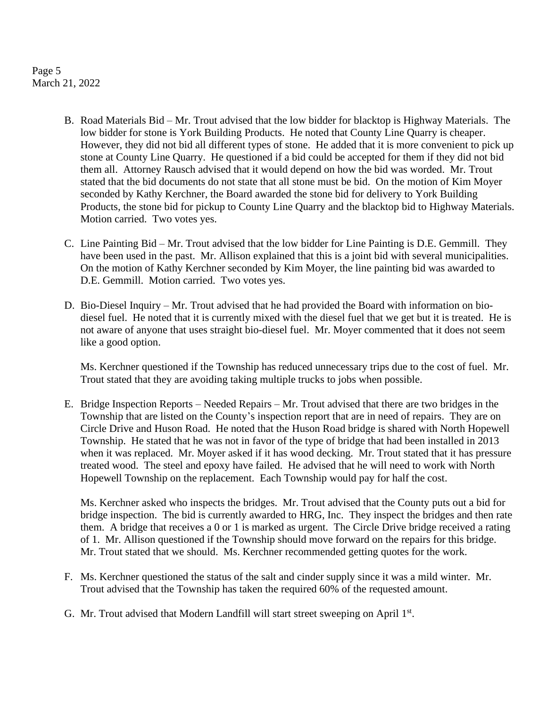Page 5 March 21, 2022

- B. Road Materials Bid Mr. Trout advised that the low bidder for blacktop is Highway Materials. The low bidder for stone is York Building Products. He noted that County Line Quarry is cheaper. However, they did not bid all different types of stone. He added that it is more convenient to pick up stone at County Line Quarry. He questioned if a bid could be accepted for them if they did not bid them all. Attorney Rausch advised that it would depend on how the bid was worded. Mr. Trout stated that the bid documents do not state that all stone must be bid. On the motion of Kim Moyer seconded by Kathy Kerchner, the Board awarded the stone bid for delivery to York Building Products, the stone bid for pickup to County Line Quarry and the blacktop bid to Highway Materials. Motion carried. Two votes yes.
- C. Line Painting Bid Mr. Trout advised that the low bidder for Line Painting is D.E. Gemmill. They have been used in the past. Mr. Allison explained that this is a joint bid with several municipalities. On the motion of Kathy Kerchner seconded by Kim Moyer, the line painting bid was awarded to D.E. Gemmill. Motion carried. Two votes yes.
- D. Bio-Diesel Inquiry Mr. Trout advised that he had provided the Board with information on biodiesel fuel. He noted that it is currently mixed with the diesel fuel that we get but it is treated. He is not aware of anyone that uses straight bio-diesel fuel. Mr. Moyer commented that it does not seem like a good option.

Ms. Kerchner questioned if the Township has reduced unnecessary trips due to the cost of fuel. Mr. Trout stated that they are avoiding taking multiple trucks to jobs when possible.

E. Bridge Inspection Reports – Needed Repairs – Mr. Trout advised that there are two bridges in the Township that are listed on the County's inspection report that are in need of repairs. They are on Circle Drive and Huson Road. He noted that the Huson Road bridge is shared with North Hopewell Township. He stated that he was not in favor of the type of bridge that had been installed in 2013 when it was replaced. Mr. Moyer asked if it has wood decking. Mr. Trout stated that it has pressure treated wood. The steel and epoxy have failed. He advised that he will need to work with North Hopewell Township on the replacement. Each Township would pay for half the cost.

Ms. Kerchner asked who inspects the bridges. Mr. Trout advised that the County puts out a bid for bridge inspection. The bid is currently awarded to HRG, Inc. They inspect the bridges and then rate them. A bridge that receives a 0 or 1 is marked as urgent. The Circle Drive bridge received a rating of 1. Mr. Allison questioned if the Township should move forward on the repairs for this bridge. Mr. Trout stated that we should. Ms. Kerchner recommended getting quotes for the work.

- F. Ms. Kerchner questioned the status of the salt and cinder supply since it was a mild winter. Mr. Trout advised that the Township has taken the required 60% of the requested amount.
- G. Mr. Trout advised that Modern Landfill will start street sweeping on April 1st.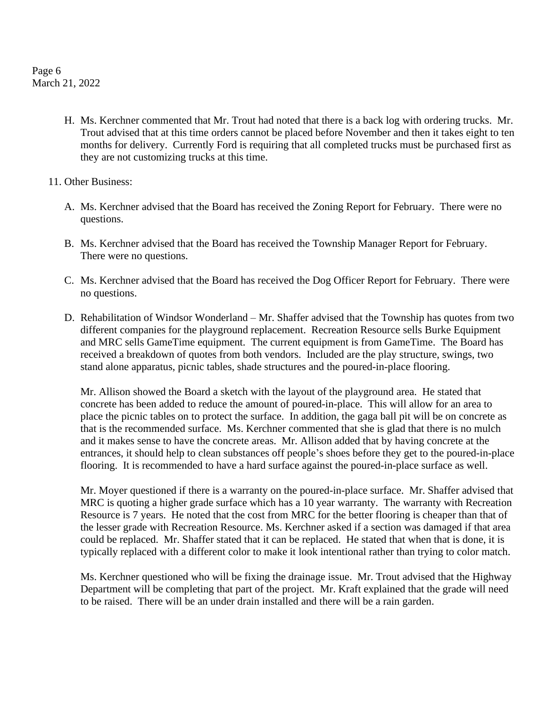Page 6 March 21, 2022

- H. Ms. Kerchner commented that Mr. Trout had noted that there is a back log with ordering trucks. Mr. Trout advised that at this time orders cannot be placed before November and then it takes eight to ten months for delivery. Currently Ford is requiring that all completed trucks must be purchased first as they are not customizing trucks at this time.
- 11. Other Business:
	- A. Ms. Kerchner advised that the Board has received the Zoning Report for February. There were no questions.
	- B. Ms. Kerchner advised that the Board has received the Township Manager Report for February. There were no questions.
	- C. Ms. Kerchner advised that the Board has received the Dog Officer Report for February. There were no questions.
	- D. Rehabilitation of Windsor Wonderland Mr. Shaffer advised that the Township has quotes from two different companies for the playground replacement. Recreation Resource sells Burke Equipment and MRC sells GameTime equipment. The current equipment is from GameTime. The Board has received a breakdown of quotes from both vendors. Included are the play structure, swings, two stand alone apparatus, picnic tables, shade structures and the poured-in-place flooring.

Mr. Allison showed the Board a sketch with the layout of the playground area. He stated that concrete has been added to reduce the amount of poured-in-place. This will allow for an area to place the picnic tables on to protect the surface. In addition, the gaga ball pit will be on concrete as that is the recommended surface. Ms. Kerchner commented that she is glad that there is no mulch and it makes sense to have the concrete areas. Mr. Allison added that by having concrete at the entrances, it should help to clean substances off people's shoes before they get to the poured-in-place flooring. It is recommended to have a hard surface against the poured-in-place surface as well.

Mr. Moyer questioned if there is a warranty on the poured-in-place surface. Mr. Shaffer advised that MRC is quoting a higher grade surface which has a 10 year warranty. The warranty with Recreation Resource is 7 years. He noted that the cost from MRC for the better flooring is cheaper than that of the lesser grade with Recreation Resource. Ms. Kerchner asked if a section was damaged if that area could be replaced. Mr. Shaffer stated that it can be replaced. He stated that when that is done, it is typically replaced with a different color to make it look intentional rather than trying to color match.

Ms. Kerchner questioned who will be fixing the drainage issue. Mr. Trout advised that the Highway Department will be completing that part of the project. Mr. Kraft explained that the grade will need to be raised. There will be an under drain installed and there will be a rain garden.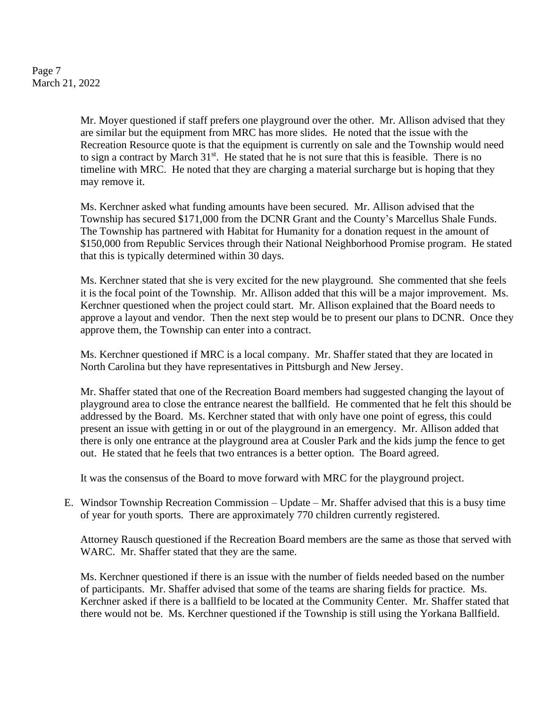Page 7 March 21, 2022

> Mr. Moyer questioned if staff prefers one playground over the other. Mr. Allison advised that they are similar but the equipment from MRC has more slides. He noted that the issue with the Recreation Resource quote is that the equipment is currently on sale and the Township would need to sign a contract by March  $31<sup>st</sup>$ . He stated that he is not sure that this is feasible. There is no timeline with MRC. He noted that they are charging a material surcharge but is hoping that they may remove it.

Ms. Kerchner asked what funding amounts have been secured. Mr. Allison advised that the Township has secured \$171,000 from the DCNR Grant and the County's Marcellus Shale Funds. The Township has partnered with Habitat for Humanity for a donation request in the amount of \$150,000 from Republic Services through their National Neighborhood Promise program. He stated that this is typically determined within 30 days.

Ms. Kerchner stated that she is very excited for the new playground. She commented that she feels it is the focal point of the Township. Mr. Allison added that this will be a major improvement. Ms. Kerchner questioned when the project could start. Mr. Allison explained that the Board needs to approve a layout and vendor. Then the next step would be to present our plans to DCNR. Once they approve them, the Township can enter into a contract.

Ms. Kerchner questioned if MRC is a local company. Mr. Shaffer stated that they are located in North Carolina but they have representatives in Pittsburgh and New Jersey.

Mr. Shaffer stated that one of the Recreation Board members had suggested changing the layout of playground area to close the entrance nearest the ballfield. He commented that he felt this should be addressed by the Board. Ms. Kerchner stated that with only have one point of egress, this could present an issue with getting in or out of the playground in an emergency. Mr. Allison added that there is only one entrance at the playground area at Cousler Park and the kids jump the fence to get out. He stated that he feels that two entrances is a better option. The Board agreed.

It was the consensus of the Board to move forward with MRC for the playground project.

E. Windsor Township Recreation Commission – Update – Mr. Shaffer advised that this is a busy time of year for youth sports. There are approximately 770 children currently registered.

Attorney Rausch questioned if the Recreation Board members are the same as those that served with WARC. Mr. Shaffer stated that they are the same.

Ms. Kerchner questioned if there is an issue with the number of fields needed based on the number of participants. Mr. Shaffer advised that some of the teams are sharing fields for practice. Ms. Kerchner asked if there is a ballfield to be located at the Community Center. Mr. Shaffer stated that there would not be. Ms. Kerchner questioned if the Township is still using the Yorkana Ballfield.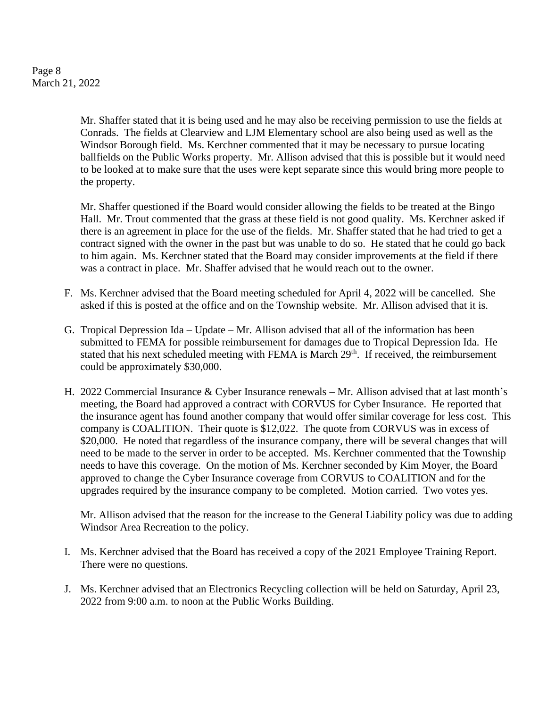Page 8 March 21, 2022

> Mr. Shaffer stated that it is being used and he may also be receiving permission to use the fields at Conrads. The fields at Clearview and LJM Elementary school are also being used as well as the Windsor Borough field. Ms. Kerchner commented that it may be necessary to pursue locating ballfields on the Public Works property. Mr. Allison advised that this is possible but it would need to be looked at to make sure that the uses were kept separate since this would bring more people to the property.

> Mr. Shaffer questioned if the Board would consider allowing the fields to be treated at the Bingo Hall. Mr. Trout commented that the grass at these field is not good quality. Ms. Kerchner asked if there is an agreement in place for the use of the fields. Mr. Shaffer stated that he had tried to get a contract signed with the owner in the past but was unable to do so. He stated that he could go back to him again. Ms. Kerchner stated that the Board may consider improvements at the field if there was a contract in place. Mr. Shaffer advised that he would reach out to the owner.

- F. Ms. Kerchner advised that the Board meeting scheduled for April 4, 2022 will be cancelled. She asked if this is posted at the office and on the Township website. Mr. Allison advised that it is.
- G. Tropical Depression Ida Update Mr. Allison advised that all of the information has been submitted to FEMA for possible reimbursement for damages due to Tropical Depression Ida. He stated that his next scheduled meeting with FEMA is March 29<sup>th</sup>. If received, the reimbursement could be approximately \$30,000.
- H. 2022 Commercial Insurance & Cyber Insurance renewals Mr. Allison advised that at last month's meeting, the Board had approved a contract with CORVUS for Cyber Insurance. He reported that the insurance agent has found another company that would offer similar coverage for less cost. This company is COALITION. Their quote is \$12,022. The quote from CORVUS was in excess of \$20,000. He noted that regardless of the insurance company, there will be several changes that will need to be made to the server in order to be accepted. Ms. Kerchner commented that the Township needs to have this coverage. On the motion of Ms. Kerchner seconded by Kim Moyer, the Board approved to change the Cyber Insurance coverage from CORVUS to COALITION and for the upgrades required by the insurance company to be completed. Motion carried. Two votes yes.

Mr. Allison advised that the reason for the increase to the General Liability policy was due to adding Windsor Area Recreation to the policy.

- I. Ms. Kerchner advised that the Board has received a copy of the 2021 Employee Training Report. There were no questions.
- J. Ms. Kerchner advised that an Electronics Recycling collection will be held on Saturday, April 23, 2022 from 9:00 a.m. to noon at the Public Works Building.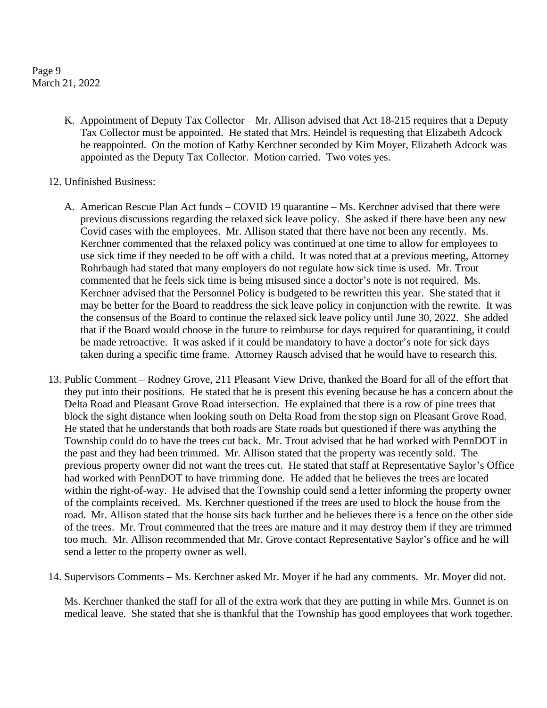Page 9 March 21, 2022

- K. Appointment of Deputy Tax Collector Mr. Allison advised that Act 18-215 requires that a Deputy Tax Collector must be appointed. He stated that Mrs. Heindel is requesting that Elizabeth Adcock be reappointed. On the motion of Kathy Kerchner seconded by Kim Moyer, Elizabeth Adcock was appointed as the Deputy Tax Collector. Motion carried. Two votes yes.
- 12. Unfinished Business:
	- A. American Rescue Plan Act funds COVID 19 quarantine Ms. Kerchner advised that there were previous discussions regarding the relaxed sick leave policy. She asked if there have been any new Covid cases with the employees. Mr. Allison stated that there have not been any recently. Ms. Kerchner commented that the relaxed policy was continued at one time to allow for employees to use sick time if they needed to be off with a child. It was noted that at a previous meeting, Attorney Rohrbaugh had stated that many employers do not regulate how sick time is used. Mr. Trout commented that he feels sick time is being misused since a doctor's note is not required. Ms. Kerchner advised that the Personnel Policy is budgeted to be rewritten this year. She stated that it may be better for the Board to readdress the sick leave policy in conjunction with the rewrite. It was the consensus of the Board to continue the relaxed sick leave policy until June 30, 2022. She added that if the Board would choose in the future to reimburse for days required for quarantining, it could be made retroactive. It was asked if it could be mandatory to have a doctor's note for sick days taken during a specific time frame. Attorney Rausch advised that he would have to research this.
- 13. Public Comment Rodney Grove, 211 Pleasant View Drive, thanked the Board for all of the effort that they put into their positions. He stated that he is present this evening because he has a concern about the Delta Road and Pleasant Grove Road intersection. He explained that there is a row of pine trees that block the sight distance when looking south on Delta Road from the stop sign on Pleasant Grove Road. He stated that he understands that both roads are State roads but questioned if there was anything the Township could do to have the trees cut back. Mr. Trout advised that he had worked with PennDOT in the past and they had been trimmed. Mr. Allison stated that the property was recently sold. The previous property owner did not want the trees cut. He stated that staff at Representative Saylor's Office had worked with PennDOT to have trimming done. He added that he believes the trees are located within the right-of-way. He advised that the Township could send a letter informing the property owner of the complaints received. Ms. Kerchner questioned if the trees are used to block the house from the road. Mr. Allison stated that the house sits back further and he believes there is a fence on the other side of the trees. Mr. Trout commented that the trees are mature and it may destroy them if they are trimmed too much. Mr. Allison recommended that Mr. Grove contact Representative Saylor's office and he will send a letter to the property owner as well.
- 14. Supervisors Comments Ms. Kerchner asked Mr. Moyer if he had any comments. Mr. Moyer did not.

Ms. Kerchner thanked the staff for all of the extra work that they are putting in while Mrs. Gunnet is on medical leave. She stated that she is thankful that the Township has good employees that work together.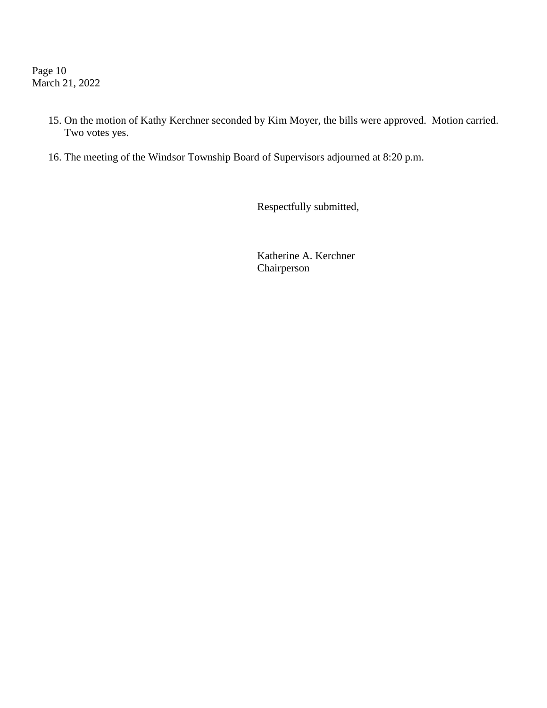Page 10 March 21, 2022

- 15. On the motion of Kathy Kerchner seconded by Kim Moyer, the bills were approved. Motion carried. Two votes yes.
- 16. The meeting of the Windsor Township Board of Supervisors adjourned at 8:20 p.m.

Respectfully submitted,

Katherine A. Kerchner Chairperson